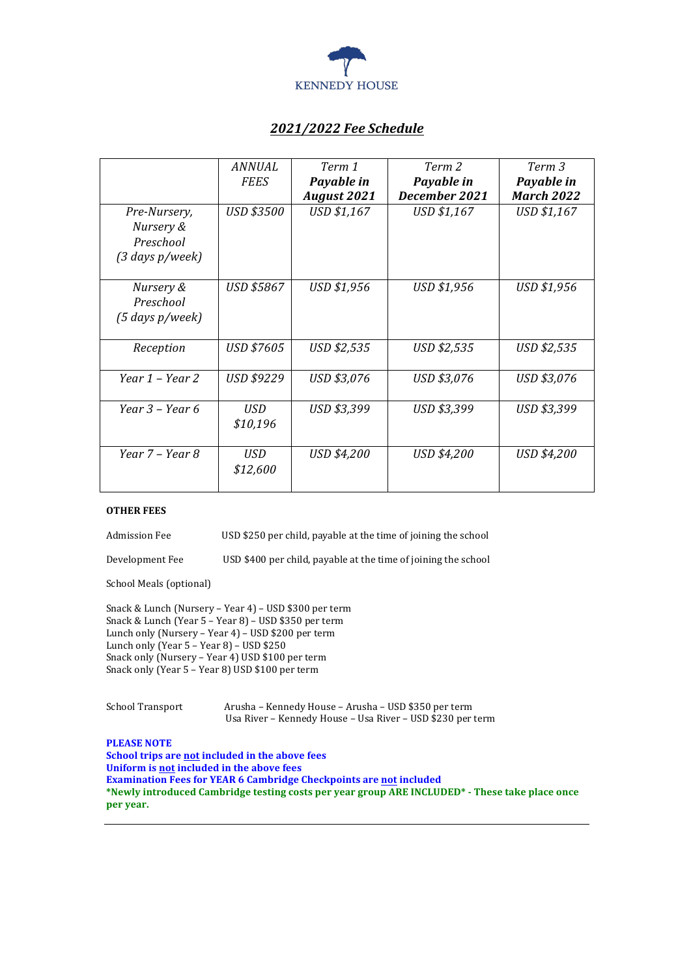

# *2021/2022 Fee Schedule*

|                                    | ANNUAL            | Term 1             | Term 2        | Term 3            |
|------------------------------------|-------------------|--------------------|---------------|-------------------|
|                                    | <b>FEES</b>       | Payable in         | Payable in    | Payable in        |
|                                    |                   | <b>August 2021</b> | December 2021 | <b>March 2022</b> |
| Pre-Nursery,                       | <b>USD \$3500</b> | USD \$1,167        | USD \$1,167   | USD \$1,167       |
| Nursery &                          |                   |                    |               |                   |
| Preschool                          |                   |                    |               |                   |
| $(3 \text{ days } p/ \text{week})$ |                   |                    |               |                   |
|                                    |                   |                    |               |                   |
| Nursery &                          | USD \$5867        | USD \$1,956        | USD \$1,956   | USD \$1,956       |
| Preschool                          |                   |                    |               |                   |
| $(5$ days $p$ /week)               |                   |                    |               |                   |
|                                    |                   |                    |               |                   |
| Reception                          | USD \$7605        | USD \$2,535        | USD \$2,535   | USD \$2,535       |
|                                    |                   |                    |               |                   |
| Year $1$ – Year 2                  | USD \$9229        | USD \$3,076        | USD \$3,076   | USD \$3,076       |
|                                    |                   |                    |               |                   |
| Year 3 – Year 6                    | USD               | USD \$3,399        | USD \$3,399   | USD \$3,399       |
|                                    | \$10,196          |                    |               |                   |
|                                    |                   |                    |               |                   |
| Year 7 - Year 8                    | USD               | USD \$4,200        | USD \$4,200   | USD \$4,200       |
|                                    | \$12,600          |                    |               |                   |
|                                    |                   |                    |               |                   |

#### **OTHER FEES**

Admission Fee **USD**\$250 per child, payable at the time of joining the school

Development Fee USD \$400 per child, payable at the time of joining the school

School Meals (optional)

Snack & Lunch (Nursery – Year 4) – USD \$300 per term Snack & Lunch (Year 5 - Year 8) - USD \$350 per term Lunch only (Nursery - Year 4) - USD \$200 per term Lunch only (Year 5 - Year 8) - USD \$250 Snack only (Nursery - Year 4) USD \$100 per term Snack only (Year 5 - Year 8) USD \$100 per term

School Transport Arusha – Kennedy House – Arusha – USD \$350 per term Usa River - Kennedy House - Usa River - USD \$230 per term

**PLEASE NOTE** 

**School trips are not included in the above fees Uniform is not included in the above fees Examination Fees for YEAR 6 Cambridge Checkpoints are not included** \*Newly introduced Cambridge testing costs per year group ARE INCLUDED\* - These take place once **per year.**